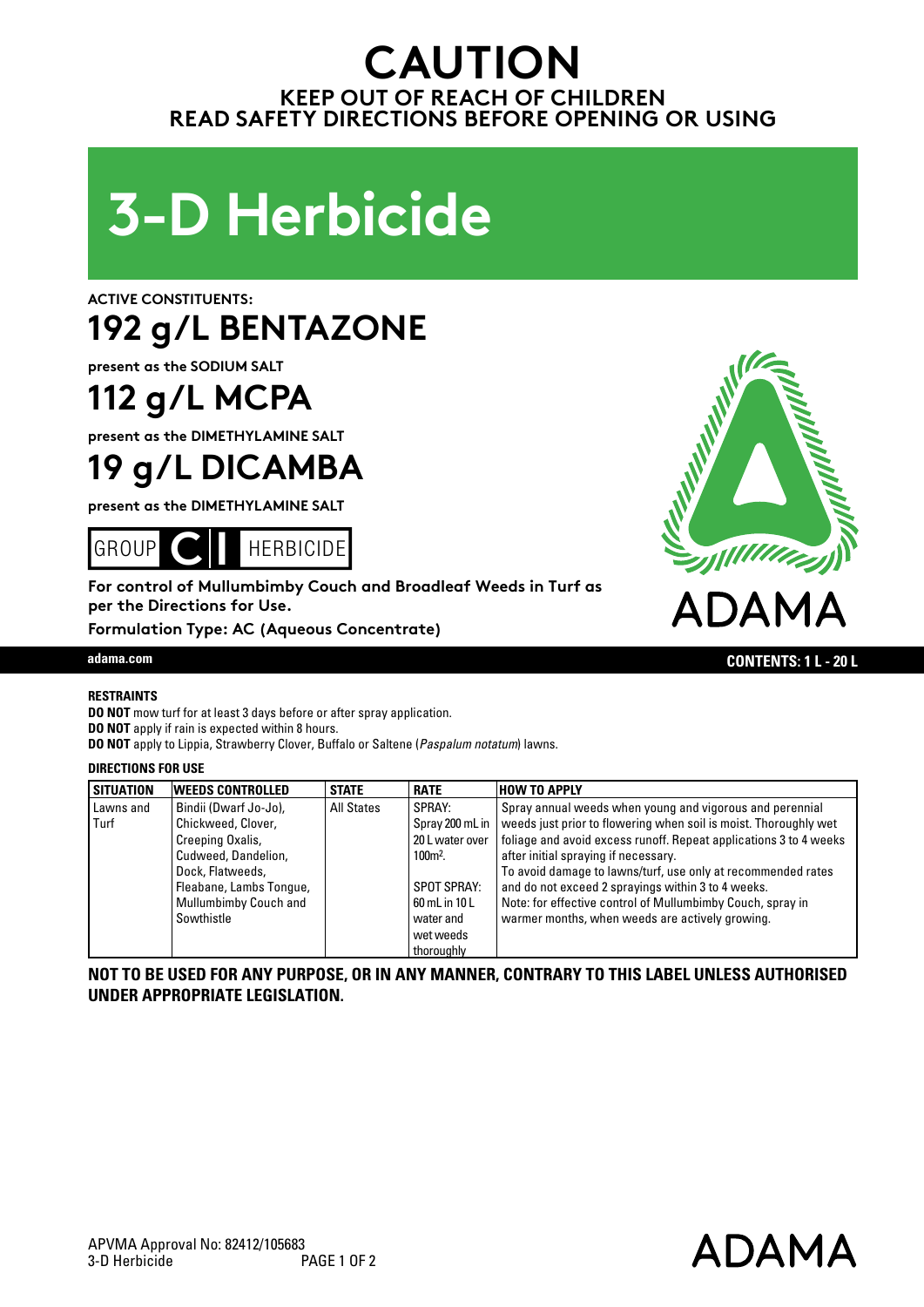### **CAUTION KEEP OUT OF REACH OF CHILDREN READ SAFETY DIRECTIONS BEFORE OPENING OR USING**



**ACTIVE CONSTITUENTS:** 

# **192 g/L BENTAZONE**

**present as the SODIUM SALT**

## **112 g/L MCPA**

**present as the DIMETHYLAMINE SALT**

### **19 g/L DICAMBA**

**present as the DIMETHYLAMINE SALT**



**For control of Mullumbimby Couch and Broadleaf Weeds in Turf as per the Directions for Use.**

**Formulation Type: AC (Aqueous Concentrate)**



ADAMA

#### **RESTRAINTS**

**DO NOT** mow turf for at least 3 days before or after spray application. **DO NOT** apply if rain is expected within 8 hours. **DO NOT** apply to Lippia, Strawberry Clover, Buffalo or Saltene (*Paspalum notatum*) lawns.

#### **DIRECTIONS FOR USE**

| <b>SITUATION</b> | <b>WEEDS CONTROLLED</b>      | <b>STATE</b> | <b>RATE</b>        | <b>HOW TO APPLY</b>                                               |
|------------------|------------------------------|--------------|--------------------|-------------------------------------------------------------------|
| Lawns and        | Bindii (Dwarf Jo-Jo),        | All States   | SPRAY:             | Spray annual weeds when young and vigorous and perennial          |
| Turf             | Chickweed, Clover,           |              | Spray 200 mL in    | weeds just prior to flowering when soil is moist. Thoroughly wet  |
|                  | Creeping Oxalis,             |              | 20 L water over    | foliage and avoid excess runoff. Repeat applications 3 to 4 weeks |
|                  | Cudweed, Dandelion,          |              | 100 <sub>m²</sub>  | after initial spraying if necessary.                              |
|                  | Dock, Flatweeds,             |              |                    | To avoid damage to lawns/turf, use only at recommended rates      |
|                  | Fleabane, Lambs Tonque,      |              | <b>SPOT SPRAY:</b> | and do not exceed 2 sprayings within 3 to 4 weeks.                |
|                  | <b>Mullumbimby Couch and</b> |              | 60 mL in 10 L      | Note: for effective control of Mullumbimby Couch, spray in        |
|                  | Sowthistle                   |              | water and          | warmer months, when weeds are actively growing.                   |
|                  |                              |              | wet weeds          |                                                                   |
|                  |                              |              | thoroughly         |                                                                   |

**NOT TO BE USED FOR ANY PURPOSE, OR IN ANY MANNER, CONTRARY TO THIS LABEL UNLESS AUTHORISED UNDER APPROPRIATE LEGISLATION.**